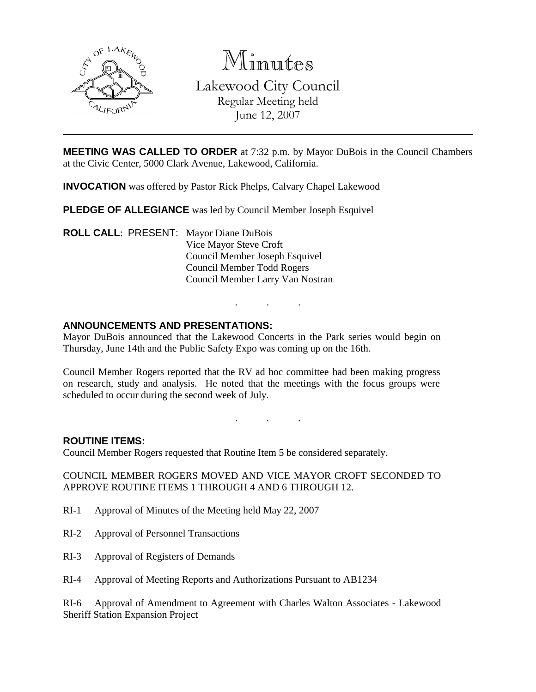

Minutes

Lakewood City Council Regular Meeting held June 12, 2007

**MEETING WAS CALLED TO ORDER** at 7:32 p.m. by Mayor DuBois in the Council Chambers at the Civic Center, 5000 Clark Avenue, Lakewood, California.

**INVOCATION** was offered by Pastor Rick Phelps, Calvary Chapel Lakewood

**PLEDGE OF ALLEGIANCE** was led by Council Member Joseph Esquivel

**ROLL CALL**: PRESENT: Mayor Diane DuBois Vice Mayor Steve Croft Council Member Joseph Esquivel Council Member Todd Rogers Council Member Larry Van Nostran

## **ANNOUNCEMENTS AND PRESENTATIONS:**

Mayor DuBois announced that the Lakewood Concerts in the Park series would begin on Thursday, June 14th and the Public Safety Expo was coming up on the 16th.

. . .

Council Member Rogers reported that the RV ad hoc committee had been making progress on research, study and analysis. He noted that the meetings with the focus groups were scheduled to occur during the second week of July.

. . .

**ROUTINE ITEMS:**

Council Member Rogers requested that Routine Item 5 be considered separately.

COUNCIL MEMBER ROGERS MOVED AND VICE MAYOR CROFT SECONDED TO APPROVE ROUTINE ITEMS 1 THROUGH 4 AND 6 THROUGH 12.

- RI-1 Approval of Minutes of the Meeting held May 22, 2007
- RI-2 Approval of Personnel Transactions
- RI-3 Approval of Registers of Demands
- RI-4 Approval of Meeting Reports and Authorizations Pursuant to AB1234

RI-6 Approval of Amendment to Agreement with Charles Walton Associates - Lakewood Sheriff Station Expansion Project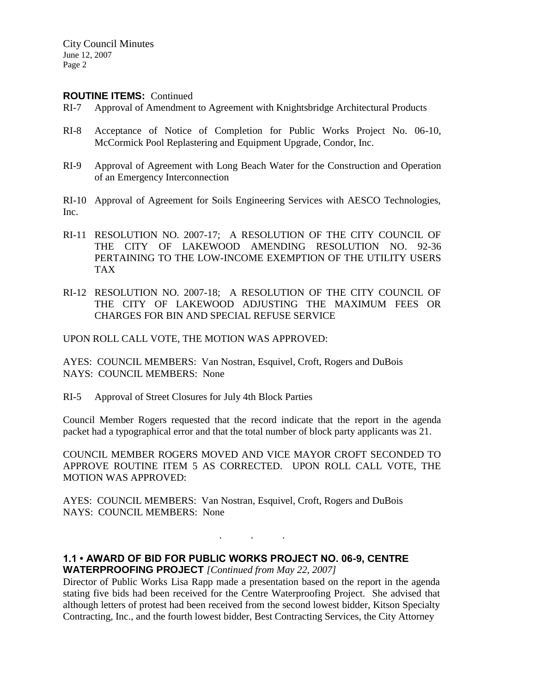#### **ROUTINE ITEMS:** Continued

- RI-7 Approval of Amendment to Agreement with Knightsbridge Architectural Products
- RI-8 Acceptance of Notice of Completion for Public Works Project No. 06-10, McCormick Pool Replastering and Equipment Upgrade, Condor, Inc.
- RI-9 Approval of Agreement with Long Beach Water for the Construction and Operation of an Emergency Interconnection
- RI-10 Approval of Agreement for Soils Engineering Services with AESCO Technologies, Inc.
- RI-11 RESOLUTION NO. 2007-17; A RESOLUTION OF THE CITY COUNCIL OF THE CITY OF LAKEWOOD AMENDING RESOLUTION NO. 92-36 PERTAINING TO THE LOW-INCOME EXEMPTION OF THE UTILITY USERS TAX
- RI-12 RESOLUTION NO. 2007-18; A RESOLUTION OF THE CITY COUNCIL OF THE CITY OF LAKEWOOD ADJUSTING THE MAXIMUM FEES OR CHARGES FOR BIN AND SPECIAL REFUSE SERVICE

UPON ROLL CALL VOTE, THE MOTION WAS APPROVED:

AYES: COUNCIL MEMBERS: Van Nostran, Esquivel, Croft, Rogers and DuBois NAYS: COUNCIL MEMBERS: None

RI-5 Approval of Street Closures for July 4th Block Parties

Council Member Rogers requested that the record indicate that the report in the agenda packet had a typographical error and that the total number of block party applicants was 21.

COUNCIL MEMBER ROGERS MOVED AND VICE MAYOR CROFT SECONDED TO APPROVE ROUTINE ITEM 5 AS CORRECTED. UPON ROLL CALL VOTE, THE MOTION WAS APPROVED:

AYES: COUNCIL MEMBERS: Van Nostran, Esquivel, Croft, Rogers and DuBois NAYS: COUNCIL MEMBERS: None

## **1.1 • AWARD OF BID FOR PUBLIC WORKS PROJECT NO. 06-9, CENTRE WATERPROOFING PROJECT** *[Continued from May 22, 2007]*

Director of Public Works Lisa Rapp made a presentation based on the report in the agenda stating five bids had been received for the Centre Waterproofing Project. She advised that although letters of protest had been received from the second lowest bidder, Kitson Specialty Contracting, Inc., and the fourth lowest bidder, Best Contracting Services, the City Attorney

. . .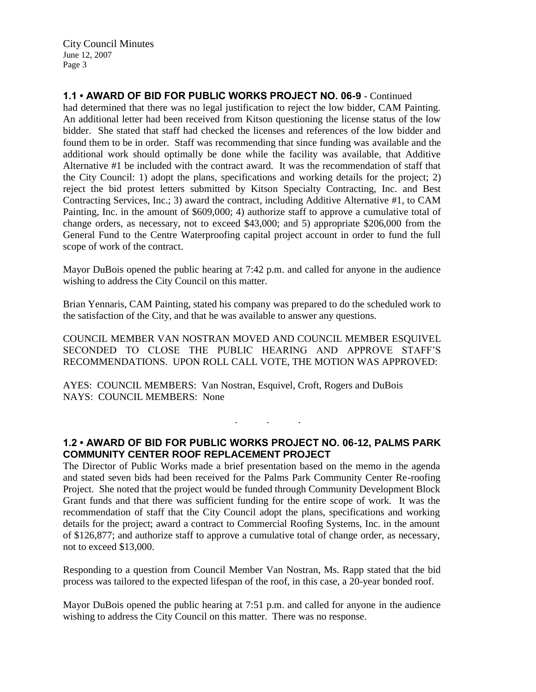City Council Minutes June 12, 2007 Page 3

**1.1 • AWARD OF BID FOR PUBLIC WORKS PROJECT NO. 06-9** - Continued

had determined that there was no legal justification to reject the low bidder, CAM Painting. An additional letter had been received from Kitson questioning the license status of the low bidder. She stated that staff had checked the licenses and references of the low bidder and found them to be in order. Staff was recommending that since funding was available and the additional work should optimally be done while the facility was available, that Additive Alternative #1 be included with the contract award. It was the recommendation of staff that the City Council: 1) adopt the plans, specifications and working details for the project; 2) reject the bid protest letters submitted by Kitson Specialty Contracting, Inc. and Best Contracting Services, Inc.; 3) award the contract, including Additive Alternative #1, to CAM Painting, Inc. in the amount of \$609,000; 4) authorize staff to approve a cumulative total of change orders, as necessary, not to exceed \$43,000; and 5) appropriate \$206,000 from the General Fund to the Centre Waterproofing capital project account in order to fund the full scope of work of the contract.

Mayor DuBois opened the public hearing at 7:42 p.m. and called for anyone in the audience wishing to address the City Council on this matter.

Brian Yennaris, CAM Painting, stated his company was prepared to do the scheduled work to the satisfaction of the City, and that he was available to answer any questions.

COUNCIL MEMBER VAN NOSTRAN MOVED AND COUNCIL MEMBER ESQUIVEL SECONDED TO CLOSE THE PUBLIC HEARING AND APPROVE STAFF'S RECOMMENDATIONS. UPON ROLL CALL VOTE, THE MOTION WAS APPROVED:

AYES: COUNCIL MEMBERS: Van Nostran, Esquivel, Croft, Rogers and DuBois NAYS: COUNCIL MEMBERS: None

# **1.2 • AWARD OF BID FOR PUBLIC WORKS PROJECT NO. 06-12, PALMS PARK COMMUNITY CENTER ROOF REPLACEMENT PROJECT**

. . .

The Director of Public Works made a brief presentation based on the memo in the agenda and stated seven bids had been received for the Palms Park Community Center Re-roofing Project. She noted that the project would be funded through Community Development Block Grant funds and that there was sufficient funding for the entire scope of work. It was the recommendation of staff that the City Council adopt the plans, specifications and working details for the project; award a contract to Commercial Roofing Systems, Inc. in the amount of \$126,877; and authorize staff to approve a cumulative total of change order, as necessary, not to exceed \$13,000.

Responding to a question from Council Member Van Nostran, Ms. Rapp stated that the bid process was tailored to the expected lifespan of the roof, in this case, a 20-year bonded roof.

Mayor DuBois opened the public hearing at 7:51 p.m. and called for anyone in the audience wishing to address the City Council on this matter. There was no response.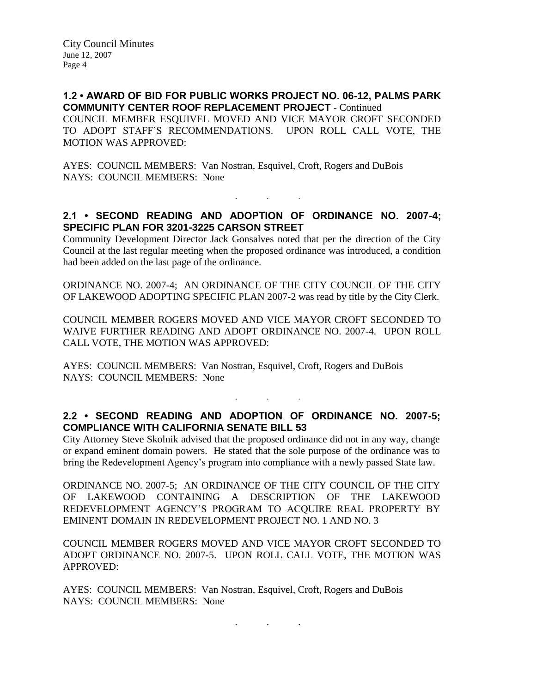**1.2 • AWARD OF BID FOR PUBLIC WORKS PROJECT NO. 06-12, PALMS PARK COMMUNITY CENTER ROOF REPLACEMENT PROJECT** - Continued COUNCIL MEMBER ESQUIVEL MOVED AND VICE MAYOR CROFT SECONDED TO ADOPT STAFF'S RECOMMENDATIONS. UPON ROLL CALL VOTE, THE MOTION WAS APPROVED:

AYES: COUNCIL MEMBERS: Van Nostran, Esquivel, Croft, Rogers and DuBois NAYS: COUNCIL MEMBERS: None

# **2.1 • SECOND READING AND ADOPTION OF ORDINANCE NO. 2007-4; SPECIFIC PLAN FOR 3201-3225 CARSON STREET**

 $\mathbf{r}$  .  $\mathbf{r}$  ,  $\mathbf{r}$  ,  $\mathbf{r}$  ,  $\mathbf{r}$  ,  $\mathbf{r}$  ,  $\mathbf{r}$  ,  $\mathbf{r}$ 

Community Development Director Jack Gonsalves noted that per the direction of the City Council at the last regular meeting when the proposed ordinance was introduced, a condition had been added on the last page of the ordinance.

ORDINANCE NO. 2007-4; AN ORDINANCE OF THE CITY COUNCIL OF THE CITY OF LAKEWOOD ADOPTING SPECIFIC PLAN 2007-2 was read by title by the City Clerk.

COUNCIL MEMBER ROGERS MOVED AND VICE MAYOR CROFT SECONDED TO WAIVE FURTHER READING AND ADOPT ORDINANCE NO. 2007-4. UPON ROLL CALL VOTE, THE MOTION WAS APPROVED:

AYES: COUNCIL MEMBERS: Van Nostran, Esquivel, Croft, Rogers and DuBois NAYS: COUNCIL MEMBERS: None

## **2.2 • SECOND READING AND ADOPTION OF ORDINANCE NO. 2007-5; COMPLIANCE WITH CALIFORNIA SENATE BILL 53**

. . .

City Attorney Steve Skolnik advised that the proposed ordinance did not in any way, change or expand eminent domain powers. He stated that the sole purpose of the ordinance was to bring the Redevelopment Agency's program into compliance with a newly passed State law.

ORDINANCE NO. 2007-5; AN ORDINANCE OF THE CITY COUNCIL OF THE CITY OF LAKEWOOD CONTAINING A DESCRIPTION OF THE LAKEWOOD REDEVELOPMENT AGENCY'S PROGRAM TO ACQUIRE REAL PROPERTY BY EMINENT DOMAIN IN REDEVELOPMENT PROJECT NO. 1 AND NO. 3

COUNCIL MEMBER ROGERS MOVED AND VICE MAYOR CROFT SECONDED TO ADOPT ORDINANCE NO. 2007-5. UPON ROLL CALL VOTE, THE MOTION WAS APPROVED:

AYES: COUNCIL MEMBERS: Van Nostran, Esquivel, Croft, Rogers and DuBois NAYS: COUNCIL MEMBERS: None

. . .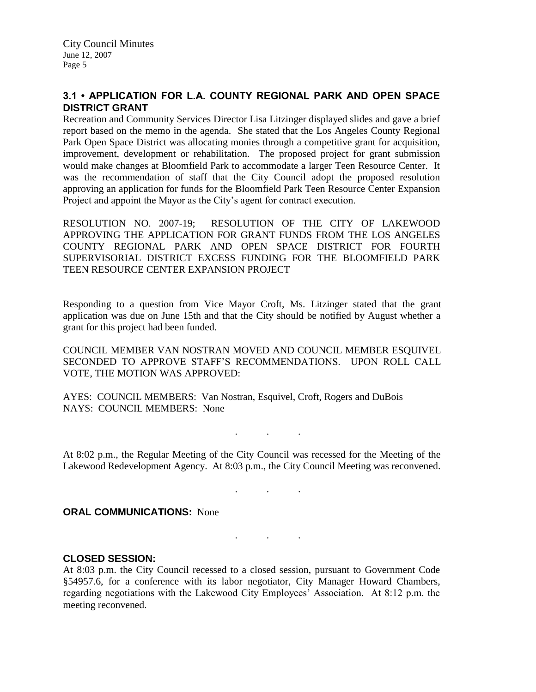# **3.1 • APPLICATION FOR L.A. COUNTY REGIONAL PARK AND OPEN SPACE DISTRICT GRANT**

Recreation and Community Services Director Lisa Litzinger displayed slides and gave a brief report based on the memo in the agenda. She stated that the Los Angeles County Regional Park Open Space District was allocating monies through a competitive grant for acquisition, improvement, development or rehabilitation. The proposed project for grant submission would make changes at Bloomfield Park to accommodate a larger Teen Resource Center. It was the recommendation of staff that the City Council adopt the proposed resolution approving an application for funds for the Bloomfield Park Teen Resource Center Expansion Project and appoint the Mayor as the City's agent for contract execution.

RESOLUTION NO. 2007-19; RESOLUTION OF THE CITY OF LAKEWOOD APPROVING THE APPLICATION FOR GRANT FUNDS FROM THE LOS ANGELES COUNTY REGIONAL PARK AND OPEN SPACE DISTRICT FOR FOURTH SUPERVISORIAL DISTRICT EXCESS FUNDING FOR THE BLOOMFIELD PARK TEEN RESOURCE CENTER EXPANSION PROJECT

Responding to a question from Vice Mayor Croft, Ms. Litzinger stated that the grant application was due on June 15th and that the City should be notified by August whether a grant for this project had been funded.

COUNCIL MEMBER VAN NOSTRAN MOVED AND COUNCIL MEMBER ESQUIVEL SECONDED TO APPROVE STAFF'S RECOMMENDATIONS. UPON ROLL CALL VOTE, THE MOTION WAS APPROVED:

AYES: COUNCIL MEMBERS: Van Nostran, Esquivel, Croft, Rogers and DuBois NAYS: COUNCIL MEMBERS: None

At 8:02 p.m., the Regular Meeting of the City Council was recessed for the Meeting of the Lakewood Redevelopment Agency. At 8:03 p.m., the City Council Meeting was reconvened.

. . .

. . .

. . .

## **ORAL COMMUNICATIONS: None**

## **CLOSED SESSION:**

At 8:03 p.m. the City Council recessed to a closed session, pursuant to Government Code §54957.6, for a conference with its labor negotiator, City Manager Howard Chambers, regarding negotiations with the Lakewood City Employees' Association. At 8:12 p.m. the meeting reconvened.